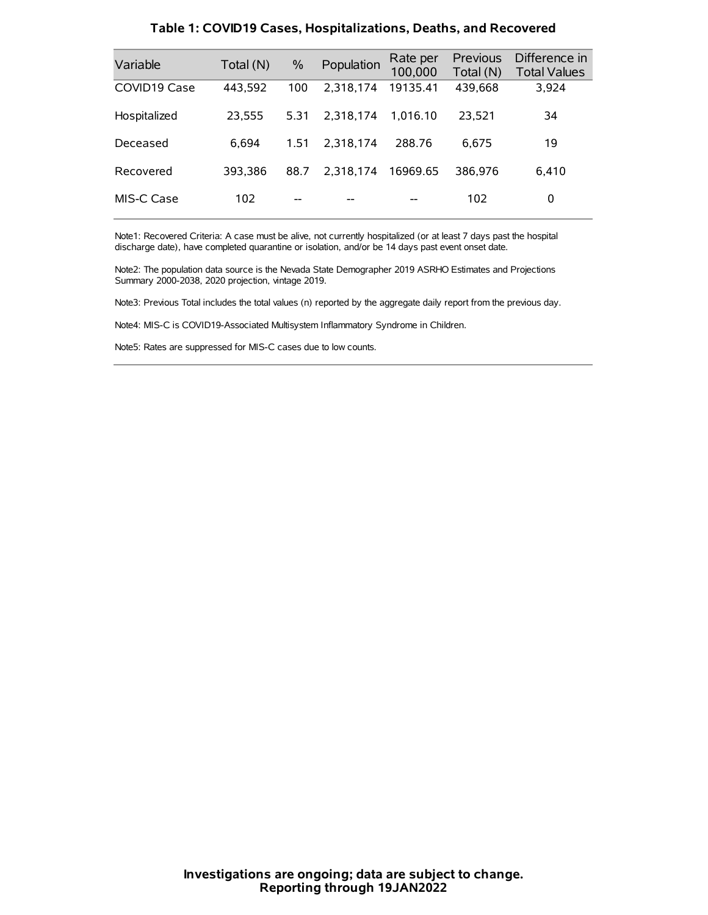| Variable     | Total (N) | $\frac{0}{0}$ | Population | Rate per<br>100,000 | Previous<br>Total (N) | Difference in<br><b>Total Values</b> |
|--------------|-----------|---------------|------------|---------------------|-----------------------|--------------------------------------|
| COVID19 Case | 443,592   | 100           | 2.318.174  | 19135.41            | 439,668               | 3,924                                |
| Hospitalized | 23,555    | 5.31          | 2.318.174  | 1.016.10            | 23,521                | 34                                   |
| Deceased     | 6.694     | 1.51          | 2.318.174  | 288.76              | 6.675                 | 19                                   |
| Recovered    | 393.386   | 88.7          | 2.318.174  | 16969.65            | 386.976               | 6,410                                |
| MIS-C Case   | 102       | --            |            |                     | 102                   | 0                                    |

#### **Table 1: COVID19 Cases, Hospitalizations, Deaths, and Recovered**

Note1: Recovered Criteria: A case must be alive, not currently hospitalized (or at least 7 days past the hospital discharge date), have completed quarantine or isolation, and/or be 14 days past event onset date.

Note2: The population data source is the Nevada State Demographer 2019 ASRHO Estimates and Projections Summary 2000-2038, 2020 projection, vintage 2019.

Note3: Previous Total includes the total values (n) reported by the aggregate daily report from the previous day.

Note4: MIS-C is COVID19-Associated Multisystem Inflammatory Syndrome in Children.

Note5: Rates are suppressed for MIS-C cases due to low counts.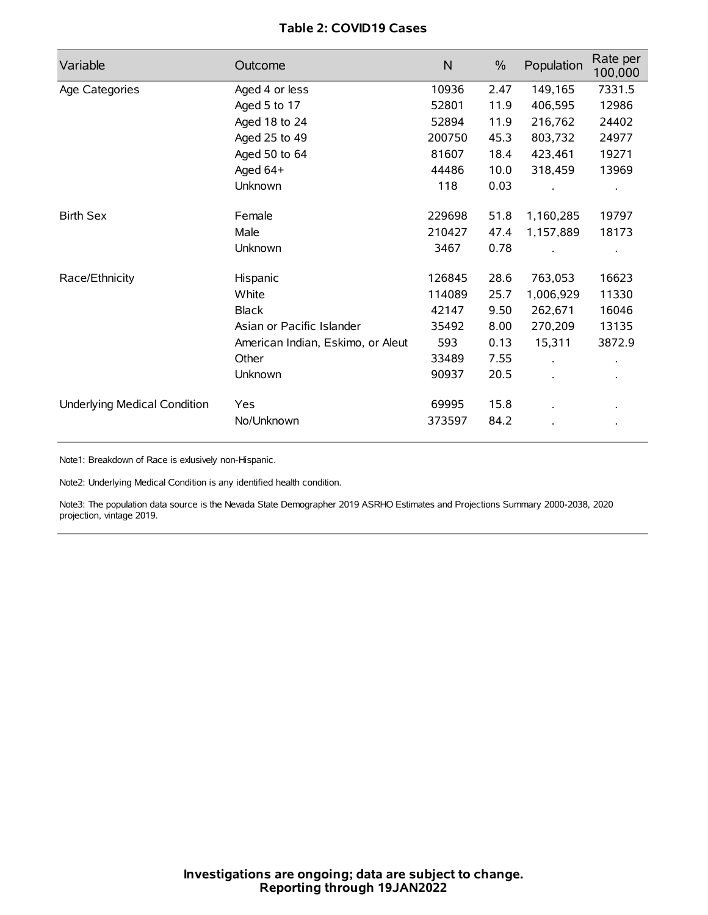# **Table 2: COVID19 Cases**

| Variable                     | Outcome                           | $\mathsf{N}$ | $\%$ | Population           | Rate per<br>100,000 |
|------------------------------|-----------------------------------|--------------|------|----------------------|---------------------|
| Age Categories               | Aged 4 or less                    | 10936        | 2.47 | 149,165              | 7331.5              |
|                              | Aged 5 to 17                      | 52801        | 11.9 | 406,595              | 12986               |
|                              | Aged 18 to 24                     | 52894        | 11.9 | 216,762              | 24402               |
|                              | Aged 25 to 49                     | 200750       | 45.3 | 803,732              | 24977               |
|                              | Aged 50 to 64                     | 81607        | 18.4 | 423,461              | 19271               |
|                              | Aged 64+                          | 44486        | 10.0 | 318,459              | 13969               |
|                              | Unknown                           | 118          | 0.03 |                      |                     |
| <b>Birth Sex</b>             | Female                            | 229698       | 51.8 | 1,160,285            | 19797               |
|                              | Male                              | 210427       | 47.4 | 1,157,889            | 18173               |
|                              | Unknown                           | 3467         | 0.78 |                      |                     |
| Race/Ethnicity               | Hispanic                          | 126845       | 28.6 | 763,053              | 16623               |
|                              | White                             | 114089       | 25.7 | 1,006,929            | 11330               |
|                              | <b>Black</b>                      | 42147        | 9.50 | 262,671              | 16046               |
|                              | Asian or Pacific Islander         | 35492        | 8.00 | 270,209              | 13135               |
|                              | American Indian, Eskimo, or Aleut | 593          | 0.13 | 15,311               | 3872.9              |
|                              | Other                             | 33489        | 7.55 | $\ddot{\phantom{a}}$ |                     |
|                              | Unknown                           | 90937        | 20.5 | ÷.                   |                     |
| Underlying Medical Condition | Yes                               | 69995        | 15.8 |                      |                     |
|                              | No/Unknown                        | 373597       | 84.2 |                      |                     |

Note1: Breakdown of Race is exlusively non-Hispanic.

Note2: Underlying Medical Condition is any identified health condition.

Note3: The population data source is the Nevada State Demographer 2019 ASRHO Estimates and Projections Summary 2000-2038, 2020 projection, vintage 2019.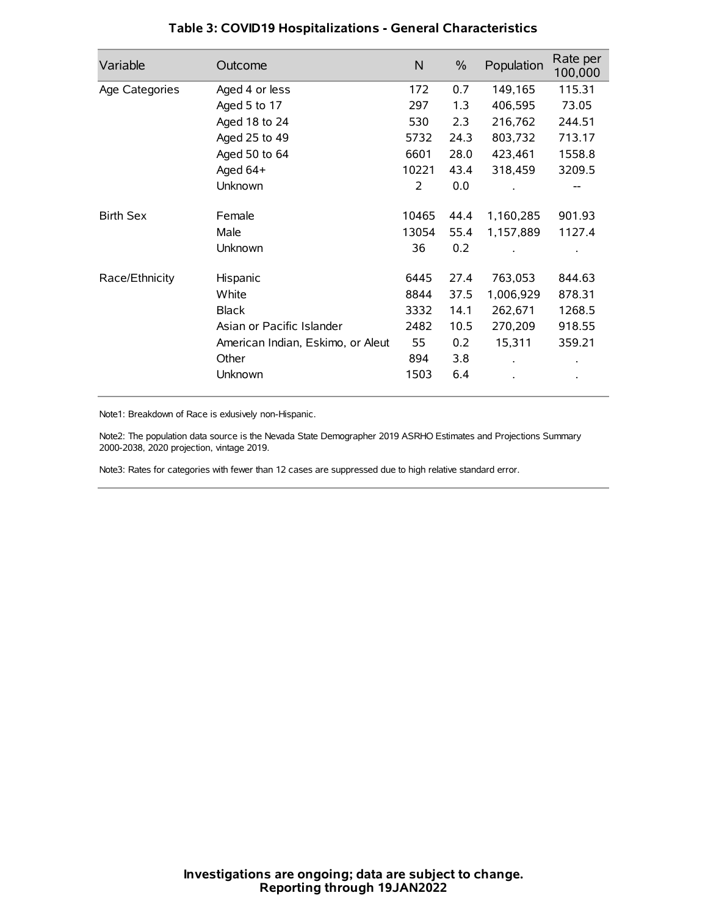| Variable         | Outcome                           | $\mathsf{N}$ | $\%$ | Population | Rate per<br>100,000 |
|------------------|-----------------------------------|--------------|------|------------|---------------------|
| Age Categories   | Aged 4 or less                    | 172          | 0.7  | 149,165    | 115.31              |
|                  | Aged 5 to 17                      | 297          | 1.3  | 406,595    | 73.05               |
|                  | Aged 18 to 24                     | 530          | 2.3  | 216,762    | 244.51              |
|                  | Aged 25 to 49                     | 5732         | 24.3 | 803,732    | 713.17              |
|                  | Aged 50 to 64                     | 6601         | 28.0 | 423,461    | 1558.8              |
|                  | Aged 64+                          | 10221        | 43.4 | 318,459    | 3209.5              |
|                  | Unknown                           | 2            | 0.0  |            |                     |
| <b>Birth Sex</b> | Female                            | 10465        | 44.4 | 1,160,285  | 901.93              |
|                  | Male                              | 13054        | 55.4 | 1,157,889  | 1127.4              |
|                  | Unknown                           | 36           | 0.2  |            |                     |
| Race/Ethnicity   | Hispanic                          | 6445         | 27.4 | 763,053    | 844.63              |
|                  | White                             | 8844         | 37.5 | 1,006,929  | 878.31              |
|                  | <b>Black</b>                      | 3332         | 14.1 | 262,671    | 1268.5              |
|                  | Asian or Pacific Islander         | 2482         | 10.5 | 270,209    | 918.55              |
|                  | American Indian, Eskimo, or Aleut | 55           | 0.2  | 15,311     | 359.21              |
|                  | Other                             | 894          | 3.8  |            |                     |
|                  | Unknown                           | 1503         | 6.4  |            |                     |

# **Table 3: COVID19 Hospitalizations - General Characteristics**

Note1: Breakdown of Race is exlusively non-Hispanic.

Note2: The population data source is the Nevada State Demographer 2019 ASRHO Estimates and Projections Summary 2000-2038, 2020 projection, vintage 2019.

Note3: Rates for categories with fewer than 12 cases are suppressed due to high relative standard error.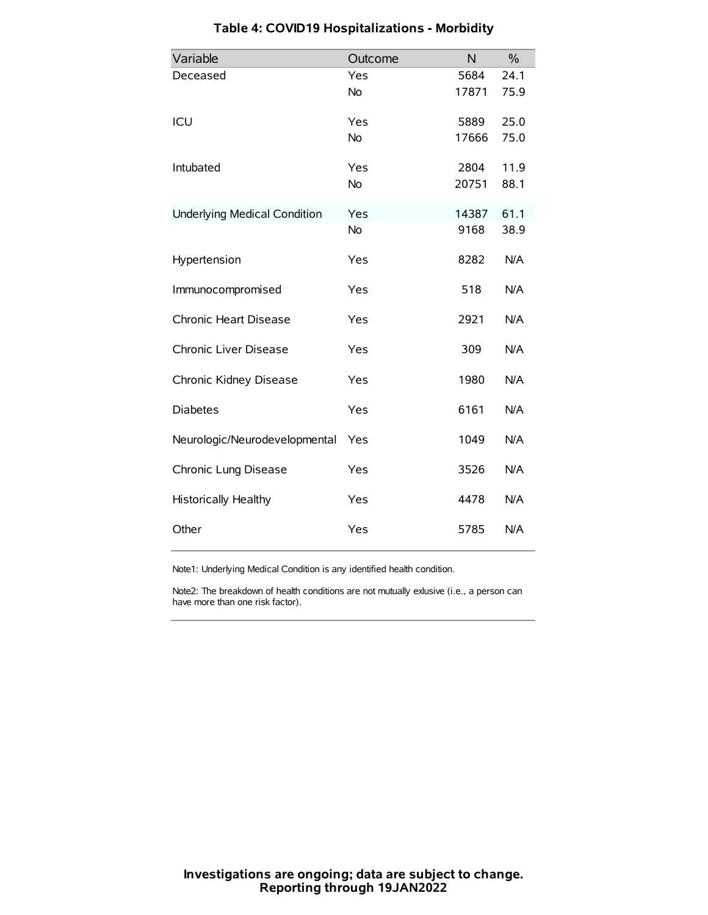| Variable                            | Outcome   | N     | $\frac{0}{0}$ |
|-------------------------------------|-----------|-------|---------------|
| Deceased                            | Yes       | 5684  | 24.1          |
|                                     | No        | 17871 | 75.9          |
| ICU                                 | Yes       | 5889  | 25.0          |
|                                     | <b>No</b> | 17666 | 75.0          |
| Intubated                           | Yes       | 2804  | 11.9          |
|                                     | No        | 20751 | 88.1          |
| <b>Underlying Medical Condition</b> | Yes       | 14387 | 61.1          |
|                                     | No        | 9168  | 38.9          |
| Hypertension                        | Yes       | 8282  | N/A           |
| Immunocompromised                   | Yes       | 518   | N/A           |
| Chronic Heart Disease               | Yes       | 2921  | N/A           |
| Chronic Liver Disease               | Yes       | 309   | N/A           |
| Chronic Kidney Disease              | Yes       | 1980  | N/A           |
| <b>Diabetes</b>                     | Yes       | 6161  | N/A           |
| Neurologic/Neurodevelopmental       | Yes       | 1049  | N/A           |
| Chronic Lung Disease                | Yes       | 3526  | N/A           |
| <b>Historically Healthy</b>         | Yes       | 4478  | N/A           |
| Other                               | Yes       | 5785  | N/A           |

# **Table 4: COVID19 Hospitalizations - Morbidity**

Note1: Underlying Medical Condition is any identified health condition.

Note2: The breakdown of health conditions are not mutually exlusive (i.e., a person can have more than one risk factor).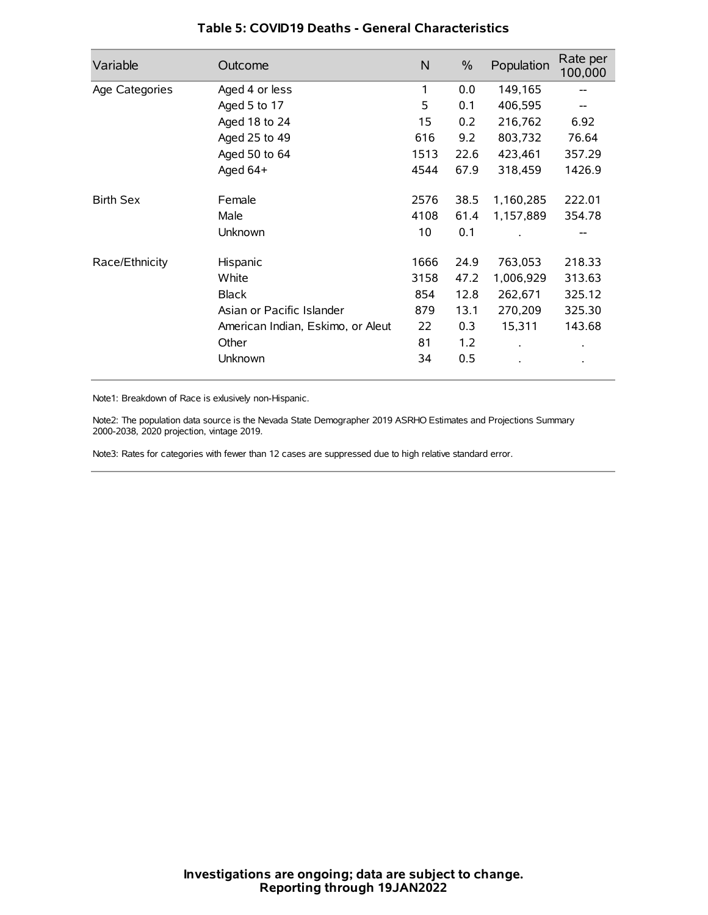| Variable         | Outcome                           | N    | $\%$ | Population           | Rate per<br>100,000 |
|------------------|-----------------------------------|------|------|----------------------|---------------------|
| Age Categories   | Aged 4 or less                    | 1    | 0.0  | 149,165              |                     |
|                  | Aged 5 to 17                      | 5    | 0.1  | 406,595              |                     |
|                  | Aged 18 to 24                     | 15   | 0.2  | 216,762              | 6.92                |
|                  | Aged 25 to 49                     | 616  | 9.2  | 803,732              | 76.64               |
|                  | Aged 50 to 64                     | 1513 | 22.6 | 423,461              | 357.29              |
|                  | Aged 64+                          | 4544 | 67.9 | 318,459              | 1426.9              |
| <b>Birth Sex</b> | Female                            | 2576 | 38.5 | 1,160,285            | 222.01              |
|                  | Male                              | 4108 | 61.4 | 1,157,889            | 354.78              |
|                  | Unknown                           | 10   | 0.1  |                      | --                  |
| Race/Ethnicity   | Hispanic                          | 1666 | 24.9 | 763,053              | 218.33              |
|                  | White                             | 3158 | 47.2 | 1,006,929            | 313.63              |
|                  | <b>Black</b>                      | 854  | 12.8 | 262,671              | 325.12              |
|                  | Asian or Pacific Islander         | 879  | 13.1 | 270,209              | 325.30              |
|                  | American Indian, Eskimo, or Aleut | 22   | 0.3  | 15,311               | 143.68              |
|                  | Other                             | 81   | 1.2  | $\ddot{\phantom{0}}$ | $\bullet$           |
|                  | Unknown                           | 34   | 0.5  |                      | $\bullet$           |

### **Table 5: COVID19 Deaths - General Characteristics**

Note1: Breakdown of Race is exlusively non-Hispanic.

Note2: The population data source is the Nevada State Demographer 2019 ASRHO Estimates and Projections Summary 2000-2038, 2020 projection, vintage 2019.

Note3: Rates for categories with fewer than 12 cases are suppressed due to high relative standard error.